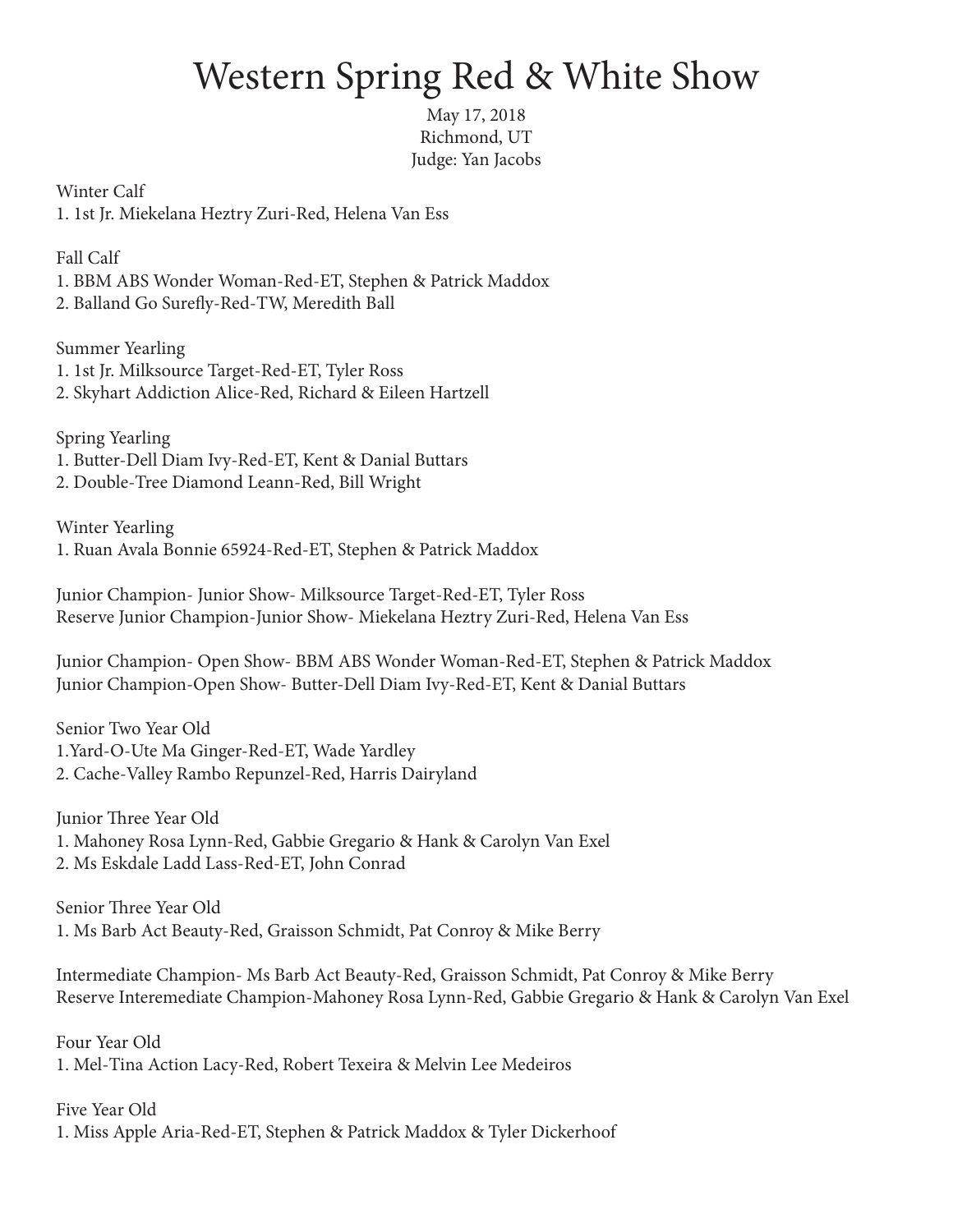## Western Spring Red & White Show

May 17, 2018 Richmond, UT Judge: Yan Jacobs

Winter Calf 1. 1st Jr. Miekelana Heztry Zuri-Red, Helena Van Ess

Fall Calf

1. BBM ABS Wonder Woman-Red-ET, Stephen & Patrick Maddox 2. Balland Go Surefly-Red-TW, Meredith Ball

Summer Yearling 1. 1st Jr. Milksource Target-Red-ET, Tyler Ross 2. Skyhart Addiction Alice-Red, Richard & Eileen Hartzell

Spring Yearling 1. Butter-Dell Diam Ivy-Red-ET, Kent & Danial Buttars 2. Double-Tree Diamond Leann-Red, Bill Wright

Winter Yearling 1. Ruan Avala Bonnie 65924-Red-ET, Stephen & Patrick Maddox

Junior Champion- Junior Show- Milksource Target-Red-ET, Tyler Ross Reserve Junior Champion-Junior Show- Miekelana Heztry Zuri-Red, Helena Van Ess

Junior Champion- Open Show- BBM ABS Wonder Woman-Red-ET, Stephen & Patrick Maddox Junior Champion-Open Show- Butter-Dell Diam Ivy-Red-ET, Kent & Danial Buttars

Senior Two Year Old 1.Yard-O-Ute Ma Ginger-Red-ET, Wade Yardley 2. Cache-Valley Rambo Repunzel-Red, Harris Dairyland

Junior Three Year Old 1. Mahoney Rosa Lynn-Red, Gabbie Gregario & Hank & Carolyn Van Exel 2. Ms Eskdale Ladd Lass-Red-ET, John Conrad

Senior Three Year Old 1. Ms Barb Act Beauty-Red, Graisson Schmidt, Pat Conroy & Mike Berry

Intermediate Champion- Ms Barb Act Beauty-Red, Graisson Schmidt, Pat Conroy & Mike Berry Reserve Interemediate Champion-Mahoney Rosa Lynn-Red, Gabbie Gregario & Hank & Carolyn Van Exel

Four Year Old 1. Mel-Tina Action Lacy-Red, Robert Texeira & Melvin Lee Medeiros

Five Year Old 1. Miss Apple Aria-Red-ET, Stephen & Patrick Maddox & Tyler Dickerhoof